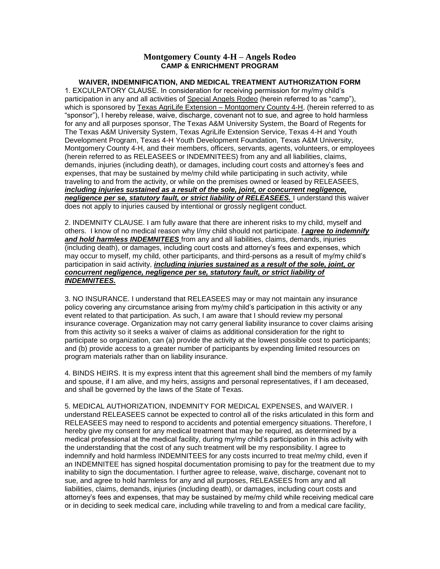## **Montgomery County 4-H – Angels Rodeo CAMP & ENRICHMENT PROGRAM**

## **WAIVER, INDEMNIFICATION, AND MEDICAL TREATMENT AUTHORIZATION FORM**

1. EXCULPATORY CLAUSE. In consideration for receiving permission for my/my child's participation in any and all activities of Special Angels Rodeo (herein referred to as "camp"), which is sponsored by Texas AgriLife Extension – Montgomery County 4-H, (herein referred to as "sponsor"), I hereby release, waive, discharge, covenant not to sue, and agree to hold harmless for any and all purposes sponsor, The Texas A&M University System, the Board of Regents for The Texas A&M University System, Texas AgriLife Extension Service, Texas 4-H and Youth Development Program, Texas 4-H Youth Development Foundation, Texas A&M University, Montgomery County 4-H, and their members, officers, servants, agents, volunteers, or employees (herein referred to as RELEASEES or INDEMNITEES) from any and all liabilities, claims, demands, injuries (including death), or damages, including court costs and attorney's fees and expenses, that may be sustained by me/my child while participating in such activity, while traveling to and from the activity, or while on the premises owned or leased by RELEASEES, *including injuries sustained as a result of the sole, joint, or concurrent negligence, negligence per se, statutory fault, or strict liability of RELEASEES.* I understand this waiver does not apply to injuries caused by intentional or grossly negligent conduct.

2. INDEMNITY CLAUSE. I am fully aware that there are inherent risks to my child, myself and others. I know of no medical reason why I/my child should not participate. *I agree to indemnify and hold harmless INDEMNITEES* from any and all liabilities, claims, demands, injuries (including death), or damages, including court costs and attorney's fees and expenses, which may occur to myself, my child, other participants, and third-persons as a result of my/my child's participation in said activity, *including injuries sustained as a result of the sole, joint, or concurrent negligence, negligence per se, statutory fault, or strict liability of INDEMNITEES.* 

3. NO INSURANCE. I understand that RELEASEES may or may not maintain any insurance policy covering any circumstance arising from my/my child's participation in this activity or any event related to that participation. As such, I am aware that I should review my personal insurance coverage. Organization may not carry general liability insurance to cover claims arising from this activity so it seeks a waiver of claims as additional consideration for the right to participate so organization, can (a) provide the activity at the lowest possible cost to participants; and (b) provide access to a greater number of participants by expending limited resources on program materials rather than on liability insurance.

4. BINDS HEIRS. It is my express intent that this agreement shall bind the members of my family and spouse, if I am alive, and my heirs, assigns and personal representatives, if I am deceased, and shall be governed by the laws of the State of Texas.

5. MEDICAL AUTHORIZATION, INDEMNITY FOR MEDICAL EXPENSES, and WAIVER. I understand RELEASEES cannot be expected to control all of the risks articulated in this form and RELEASEES may need to respond to accidents and potential emergency situations. Therefore, I hereby give my consent for any medical treatment that may be required, as determined by a medical professional at the medical facility, during my/my child's participation in this activity with the understanding that the cost of any such treatment will be my responsibility. I agree to indemnify and hold harmless INDEMNITEES for any costs incurred to treat me/my child, even if an INDEMNITEE has signed hospital documentation promising to pay for the treatment due to my inability to sign the documentation. I further agree to release, waive, discharge, covenant not to sue, and agree to hold harmless for any and all purposes, RELEASEES from any and all liabilities, claims, demands, injuries (including death), or damages, including court costs and attorney's fees and expenses, that may be sustained by me/my child while receiving medical care or in deciding to seek medical care, including while traveling to and from a medical care facility,